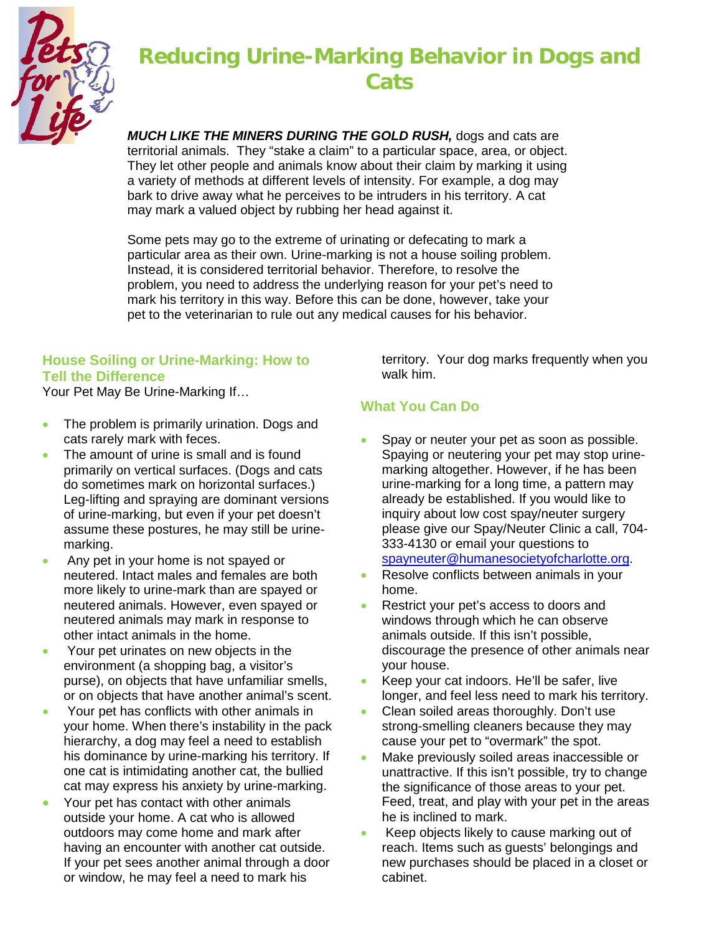

# **Reducing Urine-Marking Behavior in Dogs and Cats**

*MUCH LIKE THE MINERS DURING THE GOLD RUSH,* dogs and cats are territorial animals. They "stake a claim" to a particular space, area, or object. They let other people and animals know about their claim by marking it using a variety of methods at different levels of intensity. For example, a dog may bark to drive away what he perceives to be intruders in his territory. A cat may mark a valued object by rubbing her head against it.

Some pets may go to the extreme of urinating or defecating to mark a particular area as their own. Urine-marking is not a house soiling problem. Instead, it is considered territorial behavior. Therefore, to resolve the problem, you need to address the underlying reason for your pet's need to mark his territory in this way. Before this can be done, however, take your pet to the veterinarian to rule out any medical causes for his behavior.

## **House Soiling or Urine-Marking: How to Tell the Difference**

Your Pet May Be Urine-Marking If…

- The problem is primarily urination. Dogs and cats rarely mark with feces.
- The amount of urine is small and is found primarily on vertical surfaces. (Dogs and cats do sometimes mark on horizontal surfaces.) Leg-lifting and spraying are dominant versions of urine-marking, but even if your pet doesn't assume these postures, he may still be urinemarking.
- Any pet in your home is not spayed or neutered. Intact males and females are both more likely to urine-mark than are spayed or neutered animals. However, even spayed or neutered animals may mark in response to other intact animals in the home.
- Your pet urinates on new objects in the environment (a shopping bag, a visitor's purse), on objects that have unfamiliar smells, or on objects that have another animal's scent.
- Your pet has conflicts with other animals in your home. When there's instability in the pack hierarchy, a dog may feel a need to establish his dominance by urine-marking his territory. If one cat is intimidating another cat, the bullied cat may express his anxiety by urine-marking.
- Your pet has contact with other animals outside your home. A cat who is allowed outdoors may come home and mark after having an encounter with another cat outside. If your pet sees another animal through a door or window, he may feel a need to mark his

territory. Your dog marks frequently when you walk him.

## **What You Can Do**

- Spay or neuter your pet as soon as possible. Spaying or neutering your pet may stop urinemarking altogether. However, if he has been urine-marking for a long time, a pattern may already be established. If you would like to inquiry about low cost spay/neuter surgery please give our Spay/Neuter Clinic a call, 704- 333-4130 or email your questions to [spayneuter@humanesocietyofcharlotte.org.](mailto:spayneuter@humanesocietyofcharlotte.org)
- Resolve conflicts between animals in your home.
- Restrict your pet's access to doors and windows through which he can observe animals outside. If this isn't possible, discourage the presence of other animals near your house.
- Keep your cat indoors. He'll be safer, live longer, and feel less need to mark his territory.
- Clean soiled areas thoroughly. Don't use strong-smelling cleaners because they may cause your pet to "overmark" the spot.
- Make previously soiled areas inaccessible or unattractive. If this isn't possible, try to change the significance of those areas to your pet. Feed, treat, and play with your pet in the areas he is inclined to mark.
- Keep objects likely to cause marking out of reach. Items such as guests' belongings and new purchases should be placed in a closet or cabinet.